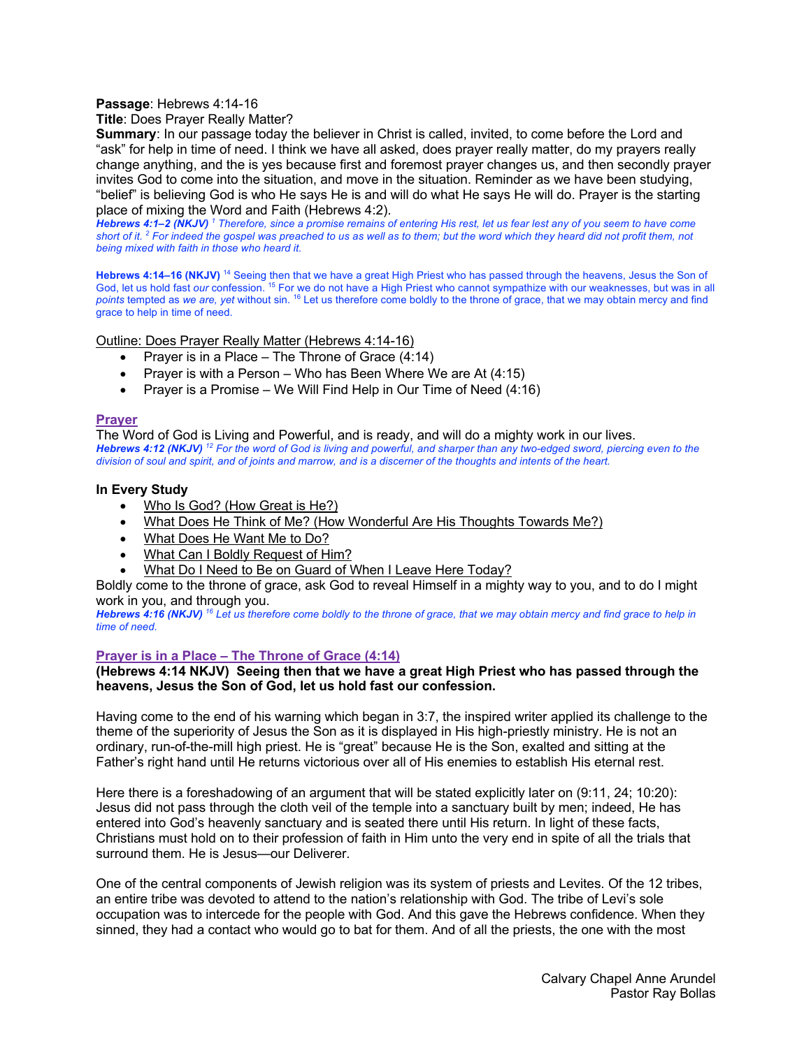### **Passage**: Hebrews 4:14-16

**Title**: Does Prayer Really Matter?

**Summary**: In our passage today the believer in Christ is called, invited, to come before the Lord and "ask" for help in time of need. I think we have all asked, does prayer really matter, do my prayers really change anything, and the is yes because first and foremost prayer changes us, and then secondly prayer invites God to come into the situation, and move in the situation. Reminder as we have been studying, "belief" is believing God is who He says He is and will do what He says He will do. Prayer is the starting place of mixing the Word and Faith (Hebrews 4:2).

*Hebrews 4:1–2 (NKJV) <sup>1</sup> Therefore, since a promise remains of entering His rest, let us fear lest any of you seem to have come short of it. 2 For indeed the gospel was preached to us as well as to them; but the word which they heard did not profit them, not being mixed with faith in those who heard it.* 

**Hebrews 4:14–16 (NKJV)** <sup>14</sup> Seeing then that we have a great High Priest who has passed through the heavens, Jesus the Son of God, let us hold fast *our* confession. 15 For we do not have a High Priest who cannot sympathize with our weaknesses, but was in all *points* tempted as *we are, yet* without sin. 16 Let us therefore come boldly to the throne of grace, that we may obtain mercy and find grace to help in time of need.

Outline: Does Prayer Really Matter (Hebrews 4:14-16)

- Prayer is in a Place The Throne of Grace (4:14)
- Prayer is with a Person Who has Been Where We are At (4:15)
- Prayer is a Promise We Will Find Help in Our Time of Need (4:16)

### **Prayer**

The Word of God is Living and Powerful, and is ready, and will do a mighty work in our lives. *Hebrews 4:12 (NKJV) <sup>12</sup> For the word of God is living and powerful, and sharper than any two-edged sword, piercing even to the division of soul and spirit, and of joints and marrow, and is a discerner of the thoughts and intents of the heart.* 

### **In Every Study**

- Who Is God? (How Great is He?)
- What Does He Think of Me? (How Wonderful Are His Thoughts Towards Me?)
- What Does He Want Me to Do?
- What Can I Boldly Request of Him?
- What Do I Need to Be on Guard of When I Leave Here Today?

Boldly come to the throne of grace, ask God to reveal Himself in a mighty way to you, and to do I might work in you, and through you.

*Hebrews 4:16 (NKJV) <sup>16</sup> Let us therefore come boldly to the throne of grace, that we may obtain mercy and find grace to help in time of need.*

# **Prayer is in a Place – The Throne of Grace (4:14)**

### **(Hebrews 4:14 NKJV) Seeing then that we have a great High Priest who has passed through the heavens, Jesus the Son of God, let us hold fast our confession.**

Having come to the end of his warning which began in 3:7, the inspired writer applied its challenge to the theme of the superiority of Jesus the Son as it is displayed in His high-priestly ministry. He is not an ordinary, run-of-the-mill high priest. He is "great" because He is the Son, exalted and sitting at the Father's right hand until He returns victorious over all of His enemies to establish His eternal rest.

Here there is a foreshadowing of an argument that will be stated explicitly later on (9:11, 24; 10:20): Jesus did not pass through the cloth veil of the temple into a sanctuary built by men; indeed, He has entered into God's heavenly sanctuary and is seated there until His return. In light of these facts, Christians must hold on to their profession of faith in Him unto the very end in spite of all the trials that surround them. He is Jesus—our Deliverer.

One of the central components of Jewish religion was its system of priests and Levites. Of the 12 tribes, an entire tribe was devoted to attend to the nation's relationship with God. The tribe of Levi's sole occupation was to intercede for the people with God. And this gave the Hebrews confidence. When they sinned, they had a contact who would go to bat for them. And of all the priests, the one with the most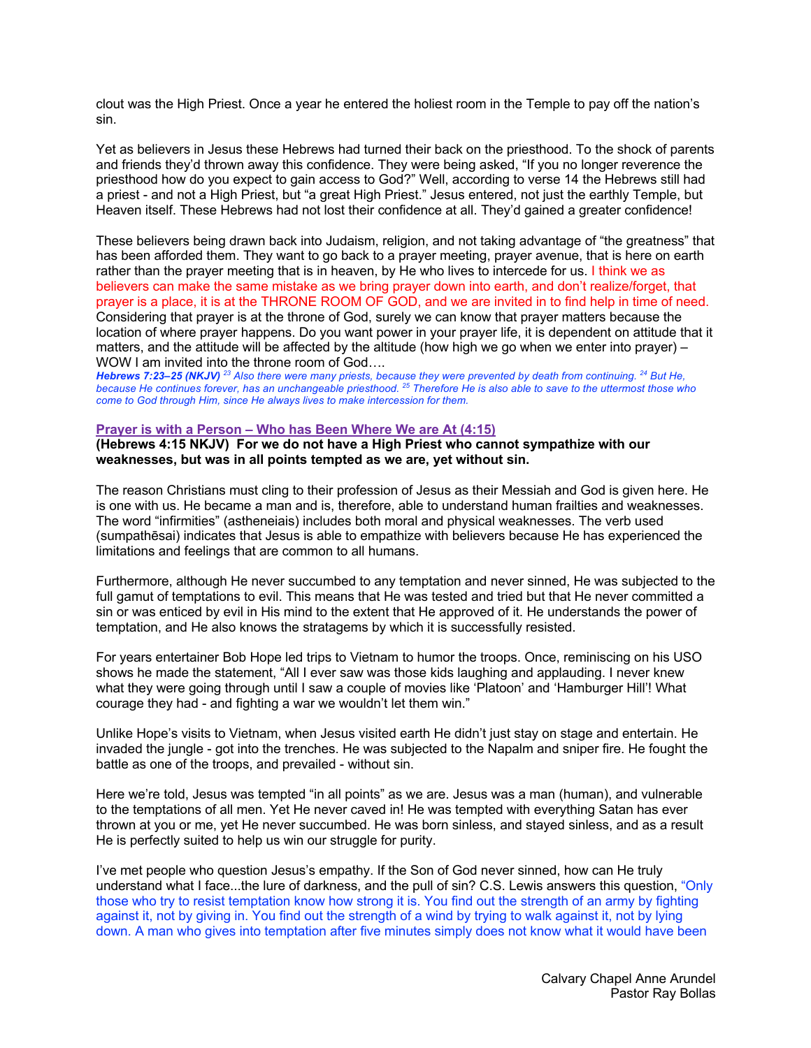clout was the High Priest. Once a year he entered the holiest room in the Temple to pay off the nation's sin.

Yet as believers in Jesus these Hebrews had turned their back on the priesthood. To the shock of parents and friends they'd thrown away this confidence. They were being asked, "If you no longer reverence the priesthood how do you expect to gain access to God?" Well, according to verse 14 the Hebrews still had a priest - and not a High Priest, but "a great High Priest." Jesus entered, not just the earthly Temple, but Heaven itself. These Hebrews had not lost their confidence at all. They'd gained a greater confidence!

These believers being drawn back into Judaism, religion, and not taking advantage of "the greatness" that has been afforded them. They want to go back to a prayer meeting, prayer avenue, that is here on earth rather than the prayer meeting that is in heaven, by He who lives to intercede for us. I think we as believers can make the same mistake as we bring prayer down into earth, and don't realize/forget, that prayer is a place, it is at the THRONE ROOM OF GOD, and we are invited in to find help in time of need. Considering that prayer is at the throne of God, surely we can know that prayer matters because the location of where prayer happens. Do you want power in your prayer life, it is dependent on attitude that it matters, and the attitude will be affected by the altitude (how high we go when we enter into prayer) – WOW I am invited into the throne room of God....

*Hebrews 7:23–25 (NKJV) <sup>23</sup> Also there were many priests, because they were prevented by death from continuing. 24 But He, because He continues forever, has an unchangeable priesthood. 25 Therefore He is also able to save to the uttermost those who come to God through Him, since He always lives to make intercession for them.* 

### **Prayer is with a Person – Who has Been Where We are At (4:15)**

**(Hebrews 4:15 NKJV) For we do not have a High Priest who cannot sympathize with our weaknesses, but was in all points tempted as we are, yet without sin.**

The reason Christians must cling to their profession of Jesus as their Messiah and God is given here. He is one with us. He became a man and is, therefore, able to understand human frailties and weaknesses. The word "infirmities" (astheneiais) includes both moral and physical weaknesses. The verb used (sumpathēsai) indicates that Jesus is able to empathize with believers because He has experienced the limitations and feelings that are common to all humans.

Furthermore, although He never succumbed to any temptation and never sinned, He was subjected to the full gamut of temptations to evil. This means that He was tested and tried but that He never committed a sin or was enticed by evil in His mind to the extent that He approved of it. He understands the power of temptation, and He also knows the stratagems by which it is successfully resisted.

For years entertainer Bob Hope led trips to Vietnam to humor the troops. Once, reminiscing on his USO shows he made the statement, "All I ever saw was those kids laughing and applauding. I never knew what they were going through until I saw a couple of movies like 'Platoon' and 'Hamburger Hill'! What courage they had - and fighting a war we wouldn't let them win."

Unlike Hope's visits to Vietnam, when Jesus visited earth He didn't just stay on stage and entertain. He invaded the jungle - got into the trenches. He was subjected to the Napalm and sniper fire. He fought the battle as one of the troops, and prevailed - without sin.

Here we're told, Jesus was tempted "in all points" as we are. Jesus was a man (human), and vulnerable to the temptations of all men. Yet He never caved in! He was tempted with everything Satan has ever thrown at you or me, yet He never succumbed. He was born sinless, and stayed sinless, and as a result He is perfectly suited to help us win our struggle for purity.

I've met people who question Jesus's empathy. If the Son of God never sinned, how can He truly understand what I face...the lure of darkness, and the pull of sin? C.S. Lewis answers this question, "Only those who try to resist temptation know how strong it is. You find out the strength of an army by fighting against it, not by giving in. You find out the strength of a wind by trying to walk against it, not by lying down. A man who gives into temptation after five minutes simply does not know what it would have been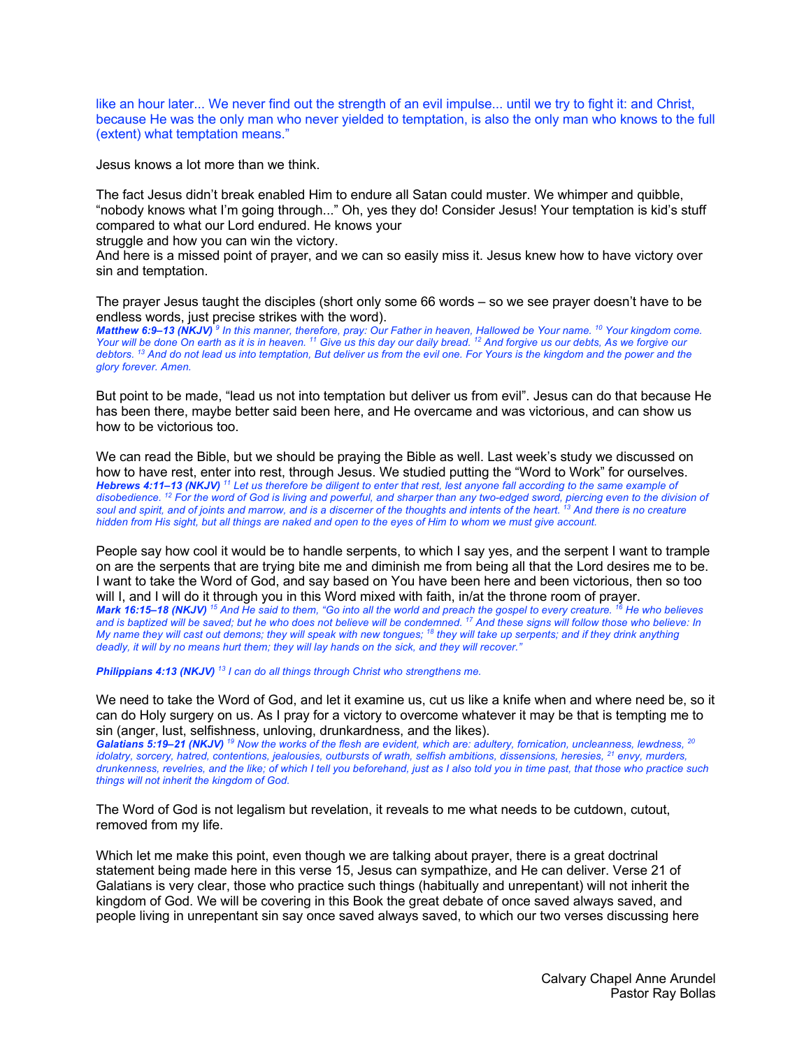like an hour later... We never find out the strength of an evil impulse... until we try to fight it: and Christ, because He was the only man who never yielded to temptation, is also the only man who knows to the full (extent) what temptation means."

Jesus knows a lot more than we think.

The fact Jesus didn't break enabled Him to endure all Satan could muster. We whimper and quibble, "nobody knows what I'm going through..." Oh, yes they do! Consider Jesus! Your temptation is kid's stuff compared to what our Lord endured. He knows your

struggle and how you can win the victory.

And here is a missed point of prayer, and we can so easily miss it. Jesus knew how to have victory over sin and temptation.

The prayer Jesus taught the disciples (short only some 66 words – so we see prayer doesn't have to be endless words, just precise strikes with the word).

*Matthew 6:9–13 (NKJV) <sup>9</sup> In this manner, therefore, pray: Our Father in heaven, Hallowed be Your name. 10 Your kingdom come. Your will be done On earth as it is in heaven. 11 Give us this day our daily bread. 12 And forgive us our debts, As we forgive our debtors.* <sup>13</sup> And do not lead us into temptation, But deliver us from the evil one. For Yours is the kingdom and the power and the *glory forever. Amen.* 

But point to be made, "lead us not into temptation but deliver us from evil". Jesus can do that because He has been there, maybe better said been here, and He overcame and was victorious, and can show us how to be victorious too.

We can read the Bible, but we should be praying the Bible as well. Last week's study we discussed on how to have rest, enter into rest, through Jesus. We studied putting the "Word to Work" for ourselves. *Hebrews 4:11–13 (NKJV) <sup>11</sup> Let us therefore be diligent to enter that rest, lest anyone fall according to the same example of disobedience. 12 For the word of God is living and powerful, and sharper than any two-edged sword, piercing even to the division of soul and spirit, and of joints and marrow, and is a discerner of the thoughts and intents of the heart. 13 And there is no creature hidden from His sight, but all things are naked and open to the eyes of Him to whom we must give account.* 

People say how cool it would be to handle serpents, to which I say yes, and the serpent I want to trample on are the serpents that are trying bite me and diminish me from being all that the Lord desires me to be. I want to take the Word of God, and say based on You have been here and been victorious, then so too will I, and I will do it through you in this Word mixed with faith, in/at the throne room of prayer. *Mark 16:15–18 (NKJV) <sup>15</sup> And He said to them, "Go into all the world and preach the gospel to every creature. 16 He who believes and is baptized will be saved; but he who does not believe will be condemned. 17 And these signs will follow those who believe: In My name they will cast out demons; they will speak with new tongues; 18 they will take up serpents; and if they drink anything deadly, it will by no means hurt them; they will lay hands on the sick, and they will recover."* 

*Philippians 4:13 (NKJV) <sup>13</sup> I can do all things through Christ who strengthens me.* 

We need to take the Word of God, and let it examine us, cut us like a knife when and where need be, so it can do Holy surgery on us. As I pray for a victory to overcome whatever it may be that is tempting me to sin (anger, lust, selfishness, unloving, drunkardness, and the likes).

*Galatians 5:19–21 (NKJV) <sup>19</sup> Now the works of the flesh are evident, which are: adultery, fornication, uncleanness, lewdness, 20 idolatry, sorcery, hatred, contentions, jealousies, outbursts of wrath, selfish ambitions, dissensions, heresies, 21 envy, murders, drunkenness, revelries, and the like; of which I tell you beforehand, just as I also told you in time past, that those who practice such things will not inherit the kingdom of God.* 

The Word of God is not legalism but revelation, it reveals to me what needs to be cutdown, cutout, removed from my life.

Which let me make this point, even though we are talking about prayer, there is a great doctrinal statement being made here in this verse 15, Jesus can sympathize, and He can deliver. Verse 21 of Galatians is very clear, those who practice such things (habitually and unrepentant) will not inherit the kingdom of God. We will be covering in this Book the great debate of once saved always saved, and people living in unrepentant sin say once saved always saved, to which our two verses discussing here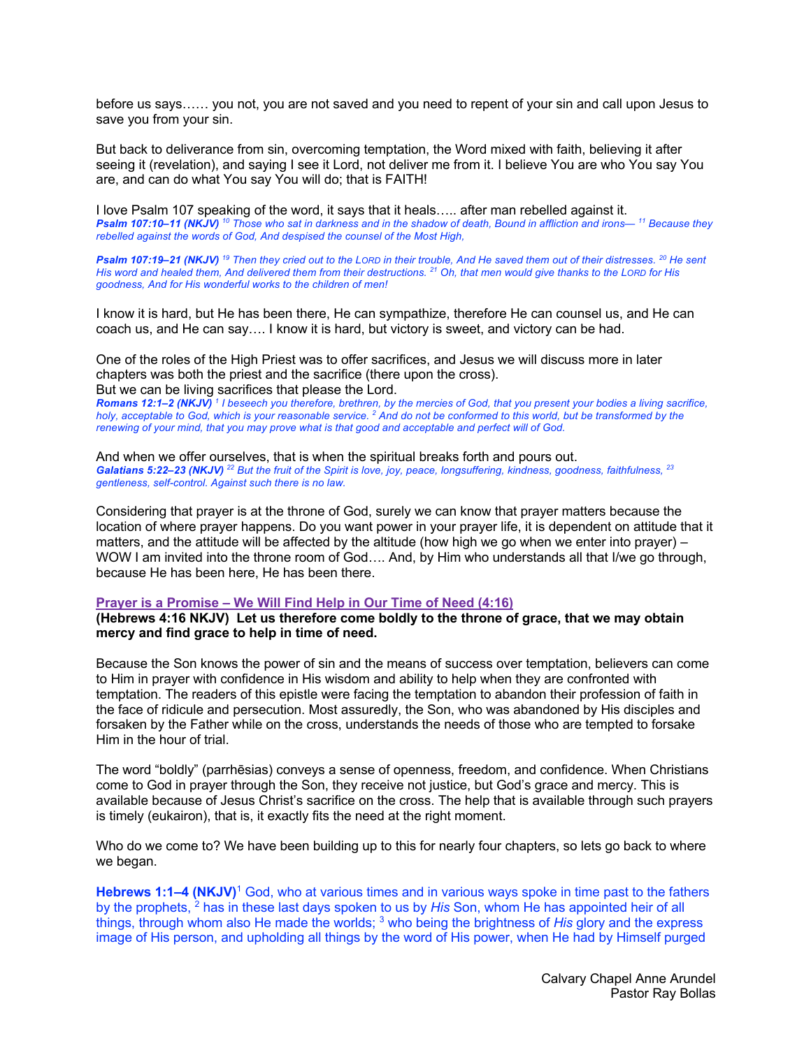before us says…… you not, you are not saved and you need to repent of your sin and call upon Jesus to save you from your sin.

But back to deliverance from sin, overcoming temptation, the Word mixed with faith, believing it after seeing it (revelation), and saying I see it Lord, not deliver me from it. I believe You are who You say You are, and can do what You say You will do; that is FAITH!

I love Psalm 107 speaking of the word, it says that it heals….. after man rebelled against it. *Psalm 107:10–11 (NKJV) <sup>10</sup> Those who sat in darkness and in the shadow of death, Bound in affliction and irons— <sup>11</sup> Because they rebelled against the words of God, And despised the counsel of the Most High,* 

*Psalm 107:19–21 (NKJV) <sup>19</sup> Then they cried out to the LORD in their trouble, And He saved them out of their distresses. 20 He sent His word and healed them, And delivered them from their destructions. 21 Oh, that men would give thanks to the LORD for His goodness, And for His wonderful works to the children of men!* 

I know it is hard, but He has been there, He can sympathize, therefore He can counsel us, and He can coach us, and He can say…. I know it is hard, but victory is sweet, and victory can be had.

One of the roles of the High Priest was to offer sacrifices, and Jesus we will discuss more in later chapters was both the priest and the sacrifice (there upon the cross). But we can be living sacrifices that please the Lord.

*Romans 12:1–2 (NKJV) <sup>1</sup> I beseech you therefore, brethren, by the mercies of God, that you present your bodies a living sacrifice, holy, acceptable to God, which is your reasonable service. 2 And do not be conformed to this world, but be transformed by the renewing of your mind, that you may prove what is that good and acceptable and perfect will of God.* 

#### And when we offer ourselves, that is when the spiritual breaks forth and pours out. *Galatians 5:22–23 (NKJV) <sup>22</sup> But the fruit of the Spirit is love, joy, peace, longsuffering, kindness, goodness, faithfulness, 23 gentleness, self-control. Against such there is no law.*

Considering that prayer is at the throne of God, surely we can know that prayer matters because the location of where prayer happens. Do you want power in your prayer life, it is dependent on attitude that it matters, and the attitude will be affected by the altitude (how high we go when we enter into prayer) – WOW I am invited into the throne room of God…. And, by Him who understands all that I/we go through, because He has been here, He has been there.

### **Prayer is a Promise – We Will Find Help in Our Time of Need (4:16)**

**(Hebrews 4:16 NKJV) Let us therefore come boldly to the throne of grace, that we may obtain mercy and find grace to help in time of need.**

Because the Son knows the power of sin and the means of success over temptation, believers can come to Him in prayer with confidence in His wisdom and ability to help when they are confronted with temptation. The readers of this epistle were facing the temptation to abandon their profession of faith in the face of ridicule and persecution. Most assuredly, the Son, who was abandoned by His disciples and forsaken by the Father while on the cross, understands the needs of those who are tempted to forsake Him in the hour of trial.

The word "boldly" (parrhēsias) conveys a sense of openness, freedom, and confidence. When Christians come to God in prayer through the Son, they receive not justice, but God's grace and mercy. This is available because of Jesus Christ's sacrifice on the cross. The help that is available through such prayers is timely (eukairon), that is, it exactly fits the need at the right moment.

Who do we come to? We have been building up to this for nearly four chapters, so lets go back to where we began.

**Hebrews 1:1–4 (NKJV)**<sup>1</sup> God, who at various times and in various ways spoke in time past to the fathers by the prophets, 2 has in these last days spoken to us by *His* Son, whom He has appointed heir of all things, through whom also He made the worlds; <sup>3</sup> who being the brightness of *His* glory and the express image of His person, and upholding all things by the word of His power, when He had by Himself purged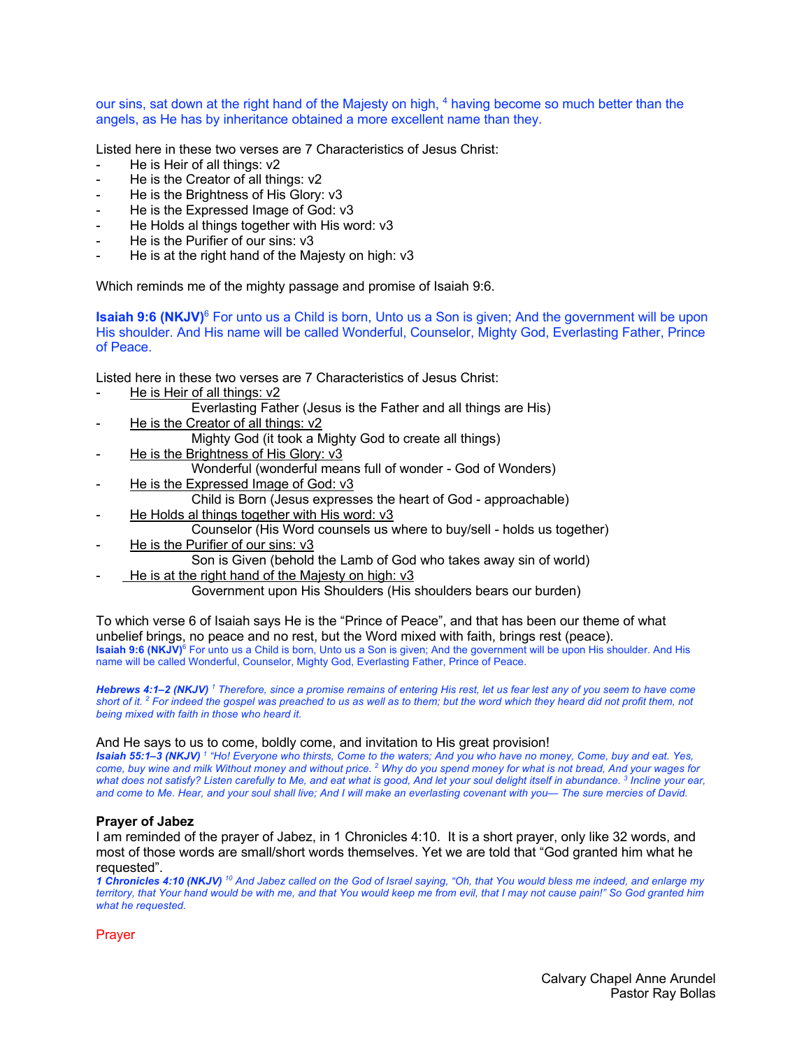our sins, sat down at the right hand of the Majesty on high, 4 having become so much better than the angels, as He has by inheritance obtained a more excellent name than they.

Listed here in these two verses are 7 Characteristics of Jesus Christ:

- He is Heir of all things: v2
- He is the Creator of all things: v2
- He is the Brightness of His Glory: v3
- He is the Expressed Image of God: v3
- He Holds al things together with His word: v3
- He is the Purifier of our sins: v3
- He is at the right hand of the Majesty on high: v3

Which reminds me of the mighty passage and promise of Isaiah 9:6.

**Isaiah 9:6 (NKJV)**<sup>6</sup> For unto us a Child is born, Unto us a Son is given; And the government will be upon His shoulder. And His name will be called Wonderful, Counselor, Mighty God, Everlasting Father, Prince of Peace.

Listed here in these two verses are 7 Characteristics of Jesus Christ:

- He is Heir of all things: v2
	- Everlasting Father (Jesus is the Father and all things are His)
- He is the Creator of all things: v2

Mighty God (it took a Mighty God to create all things)

- He is the Brightness of His Glory: v3
	- Wonderful (wonderful means full of wonder God of Wonders)
- He is the Expressed Image of God: v3
	- Child is Born (Jesus expresses the heart of God approachable)
- He Holds al things together with His word: v3
	- Counselor (His Word counsels us where to buy/sell holds us together)
- He is the Purifier of our sins: v3
	- Son is Given (behold the Lamb of God who takes away sin of world)
- He is at the right hand of the Majesty on high: v3

Government upon His Shoulders (His shoulders bears our burden)

To which verse 6 of Isaiah says He is the "Prince of Peace", and that has been our theme of what unbelief brings, no peace and no rest, but the Word mixed with faith, brings rest (peace). **Isaiah 9:6 (NKJV)<sup>6</sup>** For unto us a Child is born, Unto us a Son is given; And the government will be upon His shoulder. And His name will be called Wonderful, Counselor, Mighty God, Everlasting Father, Prince of Peace.

*Hebrews 4:1–2 (NKJV) <sup>1</sup> Therefore, since a promise remains of entering His rest, let us fear lest any of you seem to have come short of it. 2 For indeed the gospel was preached to us as well as to them; but the word which they heard did not profit them, not being mixed with faith in those who heard it.* 

### And He says to us to come, boldly come, and invitation to His great provision!

*Isaiah 55:1–3 (NKJV) <sup>1</sup> "Ho! Everyone who thirsts, Come to the waters; And you who have no money, Come, buy and eat. Yes, come, buy wine and milk Without money and without price. 2 Why do you spend money for what is not bread, And your wages for what does not satisfy? Listen carefully to Me, and eat what is good, And let your soul delight itself in abundance. 3 Incline your ear, and come to Me. Hear, and your soul shall live; And I will make an everlasting covenant with you— The sure mercies of David.* 

### **Prayer of Jabez**

I am reminded of the prayer of Jabez, in 1 Chronicles 4:10. It is a short prayer, only like 32 words, and most of those words are small/short words themselves. Yet we are told that "God granted him what he requested".

*1 Chronicles 4:10 (NKJV) <sup>10</sup> And Jabez called on the God of Israel saying, "Oh, that You would bless me indeed, and enlarge my territory, that Your hand would be with me, and that You would keep me from evil, that I may not cause pain!" So God granted him what he requested.* 

Prayer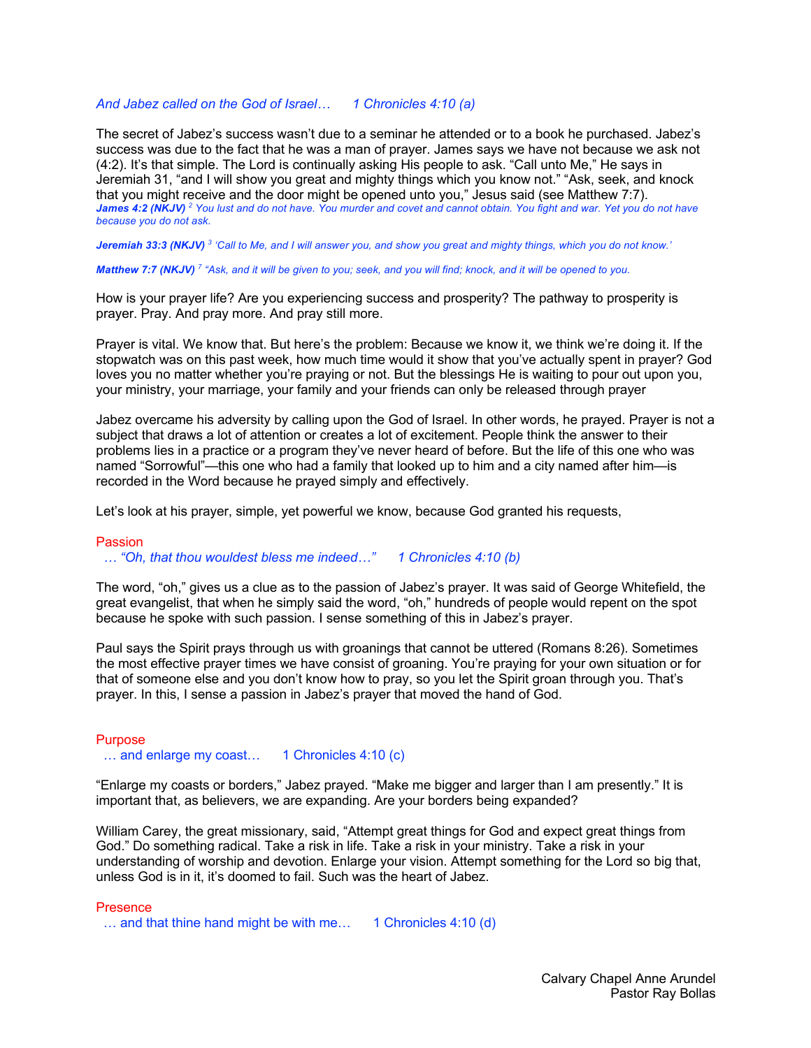### *And Jabez called on the God of Israel… 1 Chronicles 4:10 (a)*

The secret of Jabez's success wasn't due to a seminar he attended or to a book he purchased. Jabez's success was due to the fact that he was a man of prayer. James says we have not because we ask not (4:2). It's that simple. The Lord is continually asking His people to ask. "Call unto Me," He says in Jeremiah 31, "and I will show you great and mighty things which you know not." "Ask, seek, and knock that you might receive and the door might be opened unto you," Jesus said (see Matthew 7:7). *James 4:2 (NKJV) <sup>2</sup> You lust and do not have. You murder and covet and cannot obtain. You fight and war. Yet you do not have because you do not ask.* 

*Jeremiah 33:3 (NKJV) <sup>3</sup> 'Call to Me, and I will answer you, and show you great and mighty things, which you do not know.'* 

*Matthew 7:7 (NKJV) <sup>7</sup> "Ask, and it will be given to you; seek, and you will find; knock, and it will be opened to you.* 

How is your prayer life? Are you experiencing success and prosperity? The pathway to prosperity is prayer. Pray. And pray more. And pray still more.

Prayer is vital. We know that. But here's the problem: Because we know it, we think we're doing it. If the stopwatch was on this past week, how much time would it show that you've actually spent in prayer? God loves you no matter whether you're praying or not. But the blessings He is waiting to pour out upon you, your ministry, your marriage, your family and your friends can only be released through prayer

Jabez overcame his adversity by calling upon the God of Israel. In other words, he prayed. Prayer is not a subject that draws a lot of attention or creates a lot of excitement. People think the answer to their problems lies in a practice or a program they've never heard of before. But the life of this one who was named "Sorrowful"—this one who had a family that looked up to him and a city named after him—is recorded in the Word because he prayed simply and effectively.

Let's look at his prayer, simple, yet powerful we know, because God granted his requests,

#### Passion

 *… "Oh, that thou wouldest bless me indeed…" 1 Chronicles 4:10 (b)*

The word, "oh," gives us a clue as to the passion of Jabez's prayer. It was said of George Whitefield, the great evangelist, that when he simply said the word, "oh," hundreds of people would repent on the spot because he spoke with such passion. I sense something of this in Jabez's prayer.

Paul says the Spirit prays through us with groanings that cannot be uttered (Romans 8:26). Sometimes the most effective prayer times we have consist of groaning. You're praying for your own situation or for that of someone else and you don't know how to pray, so you let the Spirit groan through you. That's prayer. In this, I sense a passion in Jabez's prayer that moved the hand of God.

### **Purpose**

... and enlarge my coast... 1 Chronicles 4:10 (c)

"Enlarge my coasts or borders," Jabez prayed. "Make me bigger and larger than I am presently." It is important that, as believers, we are expanding. Are your borders being expanded?

William Carey, the great missionary, said, "Attempt great things for God and expect great things from God." Do something radical. Take a risk in life. Take a risk in your ministry. Take a risk in your understanding of worship and devotion. Enlarge your vision. Attempt something for the Lord so big that, unless God is in it, it's doomed to fail. Such was the heart of Jabez.

**Presence** 

 $\ldots$  and that thine hand might be with me... 1 Chronicles 4:10 (d)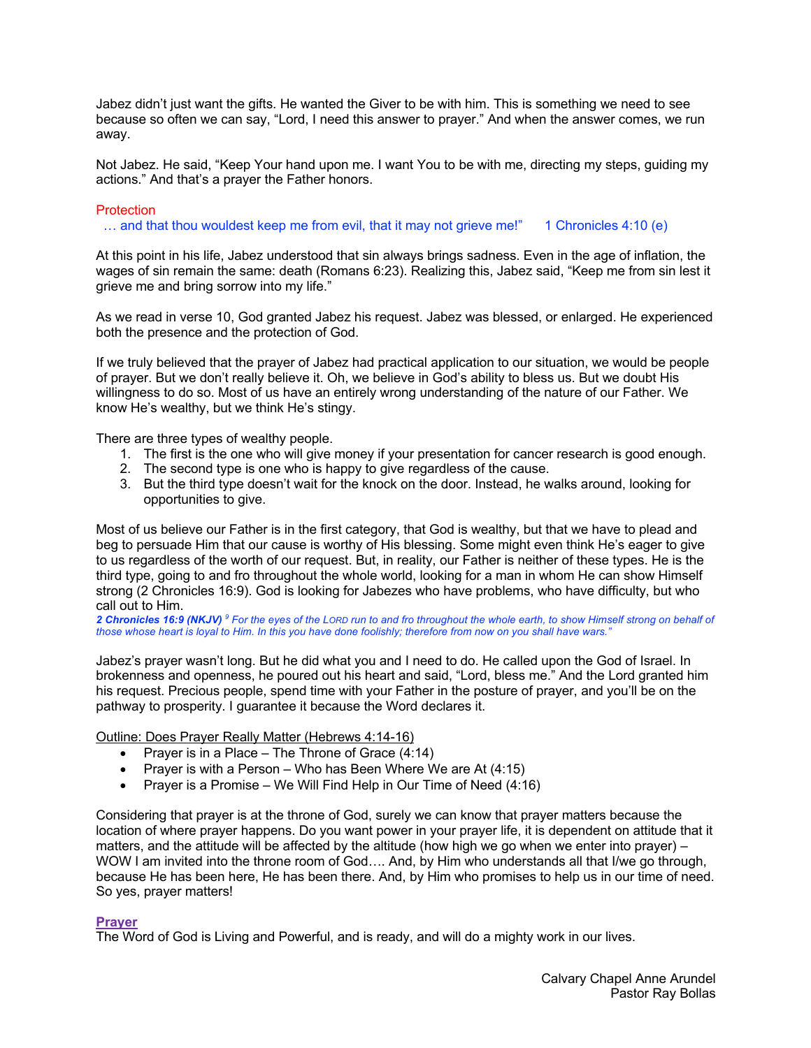Jabez didn't just want the gifts. He wanted the Giver to be with him. This is something we need to see because so often we can say, "Lord, I need this answer to prayer." And when the answer comes, we run away.

Not Jabez. He said, "Keep Your hand upon me. I want You to be with me, directing my steps, guiding my actions." And that's a prayer the Father honors.

# **Protection**

… and that thou wouldest keep me from evil, that it may not grieve me!" 1 Chronicles 4:10 (e)

At this point in his life, Jabez understood that sin always brings sadness. Even in the age of inflation, the wages of sin remain the same: death (Romans 6:23). Realizing this, Jabez said, "Keep me from sin lest it grieve me and bring sorrow into my life."

As we read in verse 10, God granted Jabez his request. Jabez was blessed, or enlarged. He experienced both the presence and the protection of God.

If we truly believed that the prayer of Jabez had practical application to our situation, we would be people of prayer. But we don't really believe it. Oh, we believe in God's ability to bless us. But we doubt His willingness to do so. Most of us have an entirely wrong understanding of the nature of our Father. We know He's wealthy, but we think He's stingy.

There are three types of wealthy people.

- 1. The first is the one who will give money if your presentation for cancer research is good enough.
- 2. The second type is one who is happy to give regardless of the cause.
- 3. But the third type doesn't wait for the knock on the door. Instead, he walks around, looking for opportunities to give.

Most of us believe our Father is in the first category, that God is wealthy, but that we have to plead and beg to persuade Him that our cause is worthy of His blessing. Some might even think He's eager to give to us regardless of the worth of our request. But, in reality, our Father is neither of these types. He is the third type, going to and fro throughout the whole world, looking for a man in whom He can show Himself strong (2 Chronicles 16:9). God is looking for Jabezes who have problems, who have difficulty, but who call out to Him.

*2 Chronicles 16:9 (NKJV) <sup>9</sup> For the eyes of the LORD run to and fro throughout the whole earth, to show Himself strong on behalf of those whose heart is loyal to Him. In this you have done foolishly; therefore from now on you shall have wars."* 

Jabez's prayer wasn't long. But he did what you and I need to do. He called upon the God of Israel. In brokenness and openness, he poured out his heart and said, "Lord, bless me." And the Lord granted him his request. Precious people, spend time with your Father in the posture of prayer, and you'll be on the pathway to prosperity. I guarantee it because the Word declares it.

Outline: Does Prayer Really Matter (Hebrews 4:14-16)

- Prayer is in a Place The Throne of Grace (4:14)
- Prayer is with a Person Who has Been Where We are At (4:15)
- Prayer is a Promise We Will Find Help in Our Time of Need (4:16)

Considering that prayer is at the throne of God, surely we can know that prayer matters because the location of where prayer happens. Do you want power in your prayer life, it is dependent on attitude that it matters, and the attitude will be affected by the altitude (how high we go when we enter into prayer) – WOW I am invited into the throne room of God.... And, by Him who understands all that I/we go through, because He has been here, He has been there. And, by Him who promises to help us in our time of need. So yes, prayer matters!

### **Prayer**

The Word of God is Living and Powerful, and is ready, and will do a mighty work in our lives.